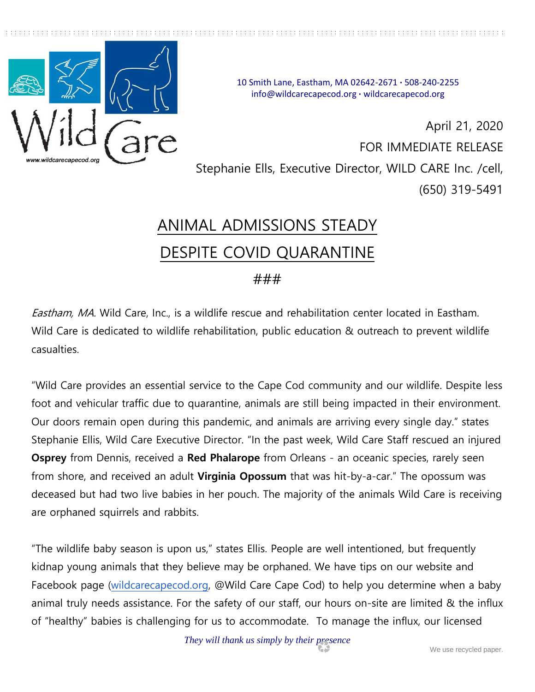

10 Smith Lane, Eastham, MA 02642-2671 **·** 508-240-2255 info@wildcarecapecod.org **·** wildcarecapecod.org

April 21, 2020 FOR IMMEDIATE RELEASE Stephanie Ells, Executive Director, WILD CARE Inc. /cell, (650) 319-5491

## ANIMAL ADMISSIONS STEADY DESPITE COVID QUARANTINE

## ###

Eastham, MA. Wild Care, Inc., is a wildlife rescue and rehabilitation center located in Eastham. Wild Care is dedicated to wildlife rehabilitation, public education & outreach to prevent wildlife casualties.

"Wild Care provides an essential service to the Cape Cod community and our wildlife. Despite less foot and vehicular traffic due to quarantine, animals are still being impacted in their environment. Our doors remain open during this pandemic, and animals are arriving every single day." states Stephanie Ellis, Wild Care Executive Director. "In the past week, Wild Care Staff rescued an injured **Osprey** from Dennis, received a **Red Phalarope** from Orleans - an oceanic species, rarely seen from shore, and received an adult **Virginia Opossum** that was hit-by-a-car." The opossum was deceased but had two live babies in her pouch. The majority of the animals Wild Care is receiving are orphaned squirrels and rabbits.

"The wildlife baby season is upon us," states Ellis. People are well intentioned, but frequently kidnap young animals that they believe may be orphaned. We have tips on our website and Facebook page [\(wildcarecapecod.org,](http://wildcarecapecod.org/) @Wild Care Cape Cod) to help you determine when a baby animal truly needs assistance. For the safety of our staff, our hours on-site are limited & the influx of "healthy" babies is challenging for us to accommodate. To manage the influx, our licensed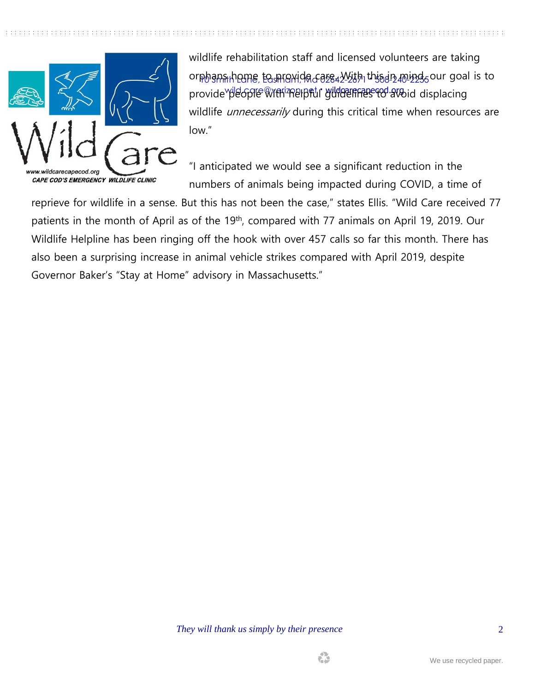

orphans home, to mraxida care. With this i<u>n mind,</u> our goal is to provide people With Relpful guidelif<del>fes to a</del>void displacing wildlife rehabilitation staff and licensed volunteers are taking wildlife *unnecessarily* during this critical time when resources are low."

"I anticipated we would see a significant reduction in the numbers of animals being impacted during COVID, a time of

reprieve for wildlife in a sense. But this has not been the case," states Ellis. "Wild Care received 77 patients in the month of April as of the 19<sup>th</sup>, compared with 77 animals on April 19, 2019. Our Wildlife Helpline has been ringing off the hook with over 457 calls so far this month. There has also been a surprising increase in animal vehicle strikes compared with April 2019, despite Governor Baker's "Stay at Home" advisory in Massachusetts."

*They will thank us simply by their presence*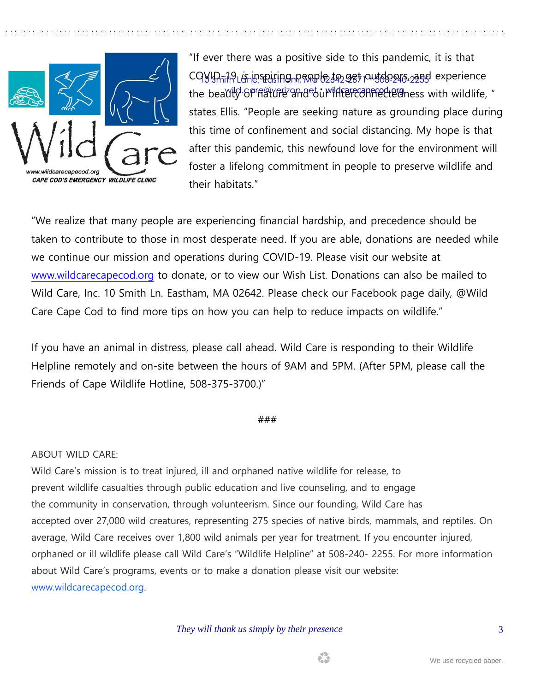

CQVI<u>D-19 เ*i*s inspiring people to get outdoors, and</u> experience the beau<del>ty of nature and our interconfrected</del>ness with wildlife, " "If ever there was a positive side to this pandemic, it is that states Ellis. "People are seeking nature as grounding place during this time of confinement and social distancing. My hope is that after this pandemic, this newfound love for the environment will foster a lifelong commitment in people to preserve wildlife and their habitats."

"We realize that many people are experiencing financial hardship, and precedence should be taken to contribute to those in most desperate need. If you are able, donations are needed while we continue our mission and operations during COVID-19. Please visit our website at [www.wildcarecapecod.org](http://www.wildcarecapecod.org/) to donate, or to view our Wish List. Donations can also be mailed to Wild Care, Inc. 10 Smith Ln. Eastham, MA 02642. Please check our Facebook page daily, @Wild Care Cape Cod to find more tips on how you can help to reduce impacts on wildlife."

If you have an animal in distress, please call ahead. Wild Care is responding to their Wildlife Helpline remotely and on-site between the hours of 9AM and 5PM. (After 5PM, please call the Friends of Cape Wildlife Hotline, 508-375-3700.)"

## ###

## ABOUT WILD CARE:

Wild Care's mission is to treat injured, ill and orphaned native wildlife for release, to prevent wildlife casualties through public education and live counseling, and to engage the community in conservation, through volunteerism. Since our founding, Wild Care has accepted over 27,000 wild creatures, representing 275 species of native birds, mammals, and reptiles. On average, Wild Care receives over 1,800 wild animals per year for treatment. If you encounter injured, orphaned or ill wildlife please call Wild Care's "Wildlife Helpline" at 508-240- 2255. For more information about Wild Care's programs, events or to make a donation please visit our website: [www.wildcarecapecod.org.](http://www.wildcarecapecod.org/)

*They will thank us simply by their presence*